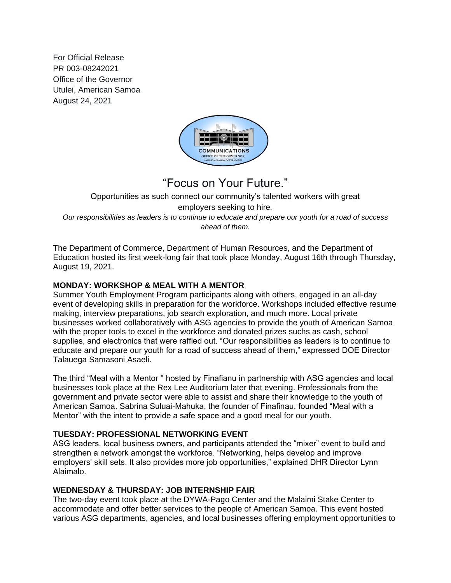For Official Release PR 003-08242021 Office of the Governor Utulei, American Samoa August 24, 2021



## "Focus on Your Future."

Opportunities as such connect our community's talented workers with great employers seeking to hire*. Our responsibilities as leaders is to continue to educate and prepare our youth for a road of success ahead of them.*

The Department of Commerce, Department of Human Resources, and the Department of Education hosted its first week-long fair that took place Monday, August 16th through Thursday, August 19, 2021.

## **MONDAY: WORKSHOP & MEAL WITH A MENTOR**

Summer Youth Employment Program participants along with others, engaged in an all-day event of developing skills in preparation for the workforce. Workshops included effective resume making, interview preparations, job search exploration, and much more. Local private businesses worked collaboratively with ASG agencies to provide the youth of American Samoa with the proper tools to excel in the workforce and donated prizes suchs as cash, school supplies, and electronics that were raffled out. "Our responsibilities as leaders is to continue to educate and prepare our youth for a road of success ahead of them," expressed DOE Director Talauega Samasoni Asaeli.

The third "Meal with a Mentor '' hosted by Finafianu in partnership with ASG agencies and local businesses took place at the Rex Lee Auditorium later that evening. Professionals from the government and private sector were able to assist and share their knowledge to the youth of American Samoa. Sabrina Suluai-Mahuka, the founder of Finafinau, founded "Meal with a Mentor" with the intent to provide a safe space and a good meal for our youth.

## **TUESDAY: PROFESSIONAL NETWORKING EVENT**

ASG leaders, local business owners, and participants attended the "mixer" event to build and strengthen a network amongst the workforce. "Networking, helps develop and improve employers' skill sets. It also provides more job opportunities," explained DHR Director Lynn Alaimalo.

## **WEDNESDAY & THURSDAY: JOB INTERNSHIP FAIR**

The two-day event took place at the DYWA-Pago Center and the Malaimi Stake Center to accommodate and offer better services to the people of American Samoa. This event hosted various ASG departments, agencies, and local businesses offering employment opportunities to